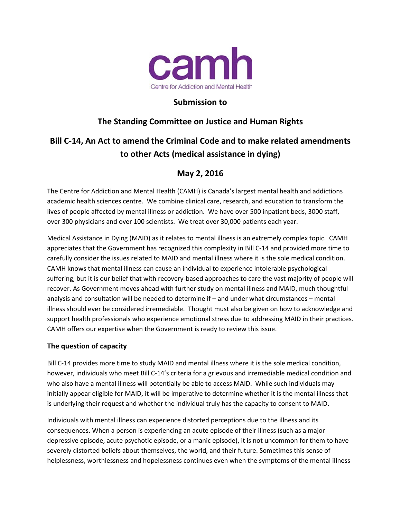

## **Submission to**

## **The Standing Committee on Justice and Human Rights**

# **Bill C-14, An Act to amend the Criminal Code and to make related amendments to other Acts (medical assistance in dying)**

## **May 2, 2016**

The Centre for Addiction and Mental Health (CAMH) is Canada's largest mental health and addictions academic health sciences centre. We combine clinical care, research, and education to transform the lives of people affected by mental illness or addiction. We have over 500 inpatient beds, 3000 staff, over 300 physicians and over 100 scientists. We treat over 30,000 patients each year.

Medical Assistance in Dying (MAID) as it relates to mental illness is an extremely complex topic. CAMH appreciates that the Government has recognized this complexity in Bill C-14 and provided more time to carefully consider the issues related to MAID and mental illness where it is the sole medical condition. CAMH knows that mental illness can cause an individual to experience intolerable psychological suffering, but it is our belief that with recovery-based approaches to care the vast majority of people will recover. As Government moves ahead with further study on mental illness and MAID, much thoughtful analysis and consultation will be needed to determine if – and under what circumstances – mental illness should ever be considered irremediable. Thought must also be given on how to acknowledge and support health professionals who experience emotional stress due to addressing MAID in their practices. CAMH offers our expertise when the Government is ready to review this issue.

### **The question of capacity**

Bill C-14 provides more time to study MAID and mental illness where it is the sole medical condition, however, individuals who meet Bill C-14's criteria for a grievous and irremediable medical condition and who also have a mental illness will potentially be able to access MAID. While such individuals may initially appear eligible for MAID, it will be imperative to determine whether it is the mental illness that is underlying their request and whether the individual truly has the capacity to consent to MAID.

Individuals with mental illness can experience distorted perceptions due to the illness and its consequences. When a person is experiencing an acute episode of their illness (such as a major depressive episode, acute psychotic episode, or a manic episode), it is not uncommon for them to have severely distorted beliefs about themselves, the world, and their future. Sometimes this sense of helplessness, worthlessness and hopelessness continues even when the symptoms of the mental illness